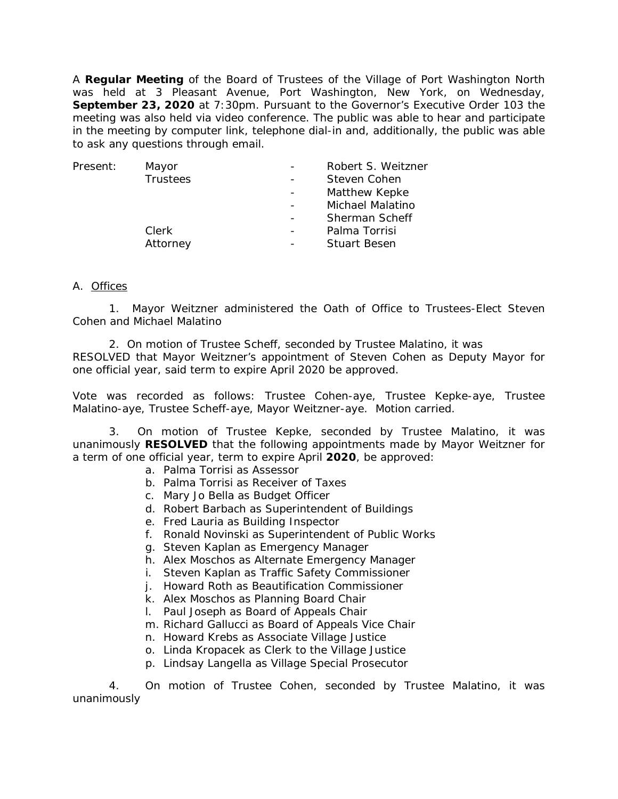A **Regular Meeting** of the Board of Trustees of the Village of Port Washington North was held at 3 Pleasant Avenue, Port Washington, New York, on Wednesday, **September 23, 2020** at 7:30pm. Pursuant to the Governor's Executive Order 103 the meeting was also held via video conference. The public was able to hear and participate in the meeting by computer link, telephone dial-in and, additionally, the public was able to ask any questions through email.

| Present: | Mayor    | Robert S. Weitzner      |
|----------|----------|-------------------------|
|          | Trustees | Steven Cohen            |
|          |          | Matthew Kepke           |
|          |          | <b>Michael Malatino</b> |
|          |          | Sherman Scheff          |
|          | Clerk    | Palma Torrisi           |
|          | Attorney | <b>Stuart Besen</b>     |
|          |          |                         |

## A. Offices

1. Mayor Weitzner administered the Oath of Office to Trustees-Elect Steven Cohen and Michael Malatino

2. On motion of Trustee Scheff, seconded by Trustee Malatino, it was RESOLVED that Mayor Weitzner's appointment of Steven Cohen as Deputy Mayor for one official year, said term to expire April 2020 be approved.

Vote was recorded as follows: Trustee Cohen-aye, Trustee Kepke-aye, Trustee Malatino-aye, Trustee Scheff-aye, Mayor Weitzner-aye. Motion carried.

3. On motion of Trustee Kepke, seconded by Trustee Malatino, it was unanimously **RESOLVED** that the following appointments made by Mayor Weitzner for a term of one official year, term to expire April **2020**, be approved:

- a. Palma Torrisi as Assessor
- b. Palma Torrisi as Receiver of Taxes
- c. Mary Jo Bella as Budget Officer
- d. Robert Barbach as Superintendent of Buildings
- e. Fred Lauria as Building Inspector
- f. Ronald Novinski as Superintendent of Public Works
- g. Steven Kaplan as Emergency Manager
- h. Alex Moschos as Alternate Emergency Manager
- i. Steven Kaplan as Traffic Safety Commissioner
- j. Howard Roth as Beautification Commissioner
- k. Alex Moschos as Planning Board Chair
- l. Paul Joseph as Board of Appeals Chair
- m. Richard Gallucci as Board of Appeals Vice Chair
- n. Howard Krebs as Associate Village Justice
- o. Linda Kropacek as Clerk to the Village Justice
- p. Lindsay Langella as Village Special Prosecutor

4. On motion of Trustee Cohen, seconded by Trustee Malatino, it was unanimously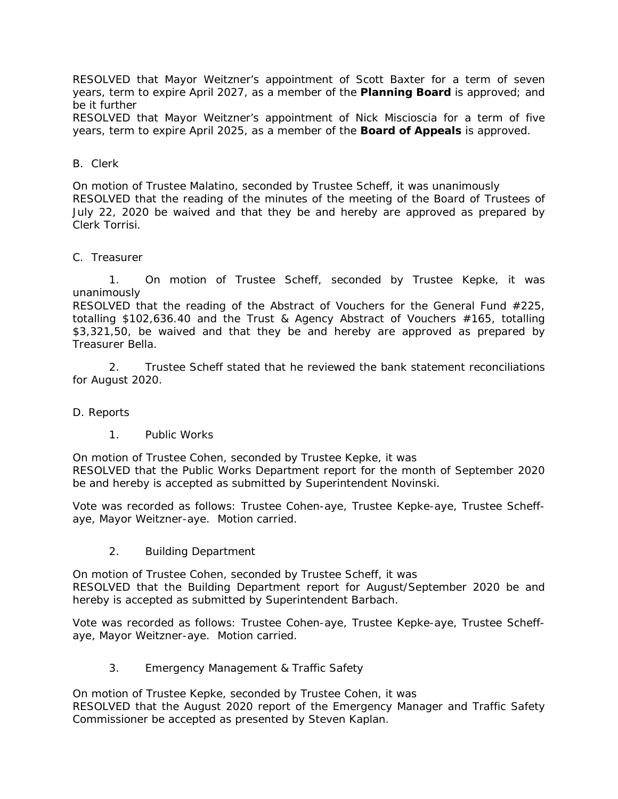RESOLVED that Mayor Weitzner's appointment of Scott Baxter for a term of seven years, term to expire April 2027, as a member of the **Planning Board** is approved; and be it further

RESOLVED that Mayor Weitzner's appointment of Nick Miscioscia for a term of five years, term to expire April 2025, as a member of the **Board of Appeals** is approved.

### B. Clerk

On motion of Trustee Malatino, seconded by Trustee Scheff, it was unanimously RESOLVED that the reading of the minutes of the meeting of the Board of Trustees of July 22, 2020 be waived and that they be and hereby are approved as prepared by Clerk Torrisi.

### C. Treasurer

1. On motion of Trustee Scheff, seconded by Trustee Kepke, it was unanimously

RESOLVED that the reading of the Abstract of Vouchers for the General Fund #225, totalling \$102,636.40 and the Trust & Agency Abstract of Vouchers #165, totalling \$3,321,50, be waived and that they be and hereby are approved as prepared by Treasurer Bella.

2. Trustee Scheff stated that he reviewed the bank statement reconciliations for August 2020.

### D. Reports

1. Public Works

On motion of Trustee Cohen, seconded by Trustee Kepke, it was RESOLVED that the Public Works Department report for the month of September 2020 be and hereby is accepted as submitted by Superintendent Novinski.

Vote was recorded as follows: Trustee Cohen-aye, Trustee Kepke-aye, Trustee Scheffaye, Mayor Weitzner-aye. Motion carried.

2. Building Department

On motion of Trustee Cohen, seconded by Trustee Scheff, it was RESOLVED that the Building Department report for August/September 2020 be and hereby is accepted as submitted by Superintendent Barbach.

Vote was recorded as follows: Trustee Cohen-aye, Trustee Kepke-aye, Trustee Scheffaye, Mayor Weitzner-aye. Motion carried.

3. Emergency Management & Traffic Safety

On motion of Trustee Kepke, seconded by Trustee Cohen, it was RESOLVED that the August 2020 report of the Emergency Manager and Traffic Safety Commissioner be accepted as presented by Steven Kaplan.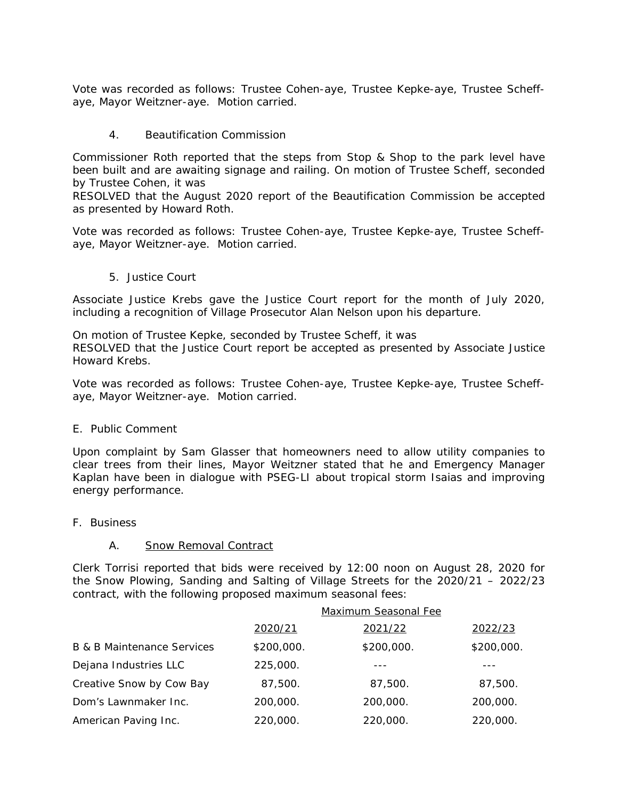Vote was recorded as follows: Trustee Cohen-aye, Trustee Kepke-aye, Trustee Scheffaye, Mayor Weitzner-aye. Motion carried.

4. Beautification Commission

Commissioner Roth reported that the steps from Stop & Shop to the park level have been built and are awaiting signage and railing. On motion of Trustee Scheff, seconded by Trustee Cohen, it was

RESOLVED that the August 2020 report of the Beautification Commission be accepted as presented by Howard Roth.

Vote was recorded as follows: Trustee Cohen-aye, Trustee Kepke-aye, Trustee Scheffaye, Mayor Weitzner-aye. Motion carried.

5. Justice Court

Associate Justice Krebs gave the Justice Court report for the month of July 2020, including a recognition of Village Prosecutor Alan Nelson upon his departure.

On motion of Trustee Kepke, seconded by Trustee Scheff, it was RESOLVED that the Justice Court report be accepted as presented by Associate Justice Howard Krebs.

Vote was recorded as follows: Trustee Cohen-aye, Trustee Kepke-aye, Trustee Scheffaye, Mayor Weitzner-aye. Motion carried.

### E. Public Comment

Upon complaint by Sam Glasser that homeowners need to allow utility companies to clear trees from their lines, Mayor Weitzner stated that he and Emergency Manager Kaplan have been in dialogue with PSEG-LI about tropical storm Isaias and improving energy performance.

F. Business

### A. Snow Removal Contract

Clerk Torrisi reported that bids were received by 12:00 noon on August 28, 2020 for the Snow Plowing, Sanding and Salting of Village Streets for the 2020/21 – 2022/23 contract, with the following proposed maximum seasonal fees:

|                                       | <b>Maximum Seasonal Fee</b> |            |            |
|---------------------------------------|-----------------------------|------------|------------|
|                                       | 2020/21                     | 2021/22    | 2022/23    |
| <b>B &amp; B Maintenance Services</b> | \$200,000.                  | \$200,000. | \$200,000. |
| Dejana Industries LLC                 | 225,000.                    |            |            |
| Creative Snow by Cow Bay              | 87,500.                     | 87,500.    | 87,500.    |
| Dom's Lawnmaker Inc.                  | 200,000.                    | 200,000.   | 200,000.   |
| American Paving Inc.                  | 220,000.                    | 220,000.   | 220,000.   |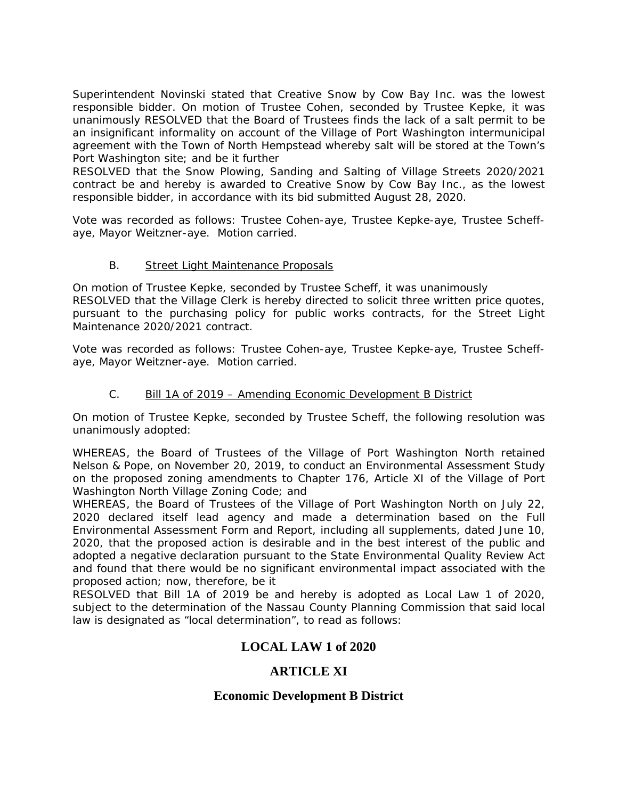Superintendent Novinski stated that Creative Snow by Cow Bay Inc. was the lowest responsible bidder. On motion of Trustee Cohen, seconded by Trustee Kepke, it was unanimously RESOLVED that the Board of Trustees finds the lack of a salt permit to be an insignificant informality on account of the Village of Port Washington intermunicipal agreement with the Town of North Hempstead whereby salt will be stored at the Town's Port Washington site; and be it further

RESOLVED that the Snow Plowing, Sanding and Salting of Village Streets 2020/2021 contract be and hereby is awarded to Creative Snow by Cow Bay Inc., as the lowest responsible bidder, in accordance with its bid submitted August 28, 2020.

Vote was recorded as follows: Trustee Cohen-aye, Trustee Kepke-aye, Trustee Scheffaye, Mayor Weitzner-aye. Motion carried.

## B. Street Light Maintenance Proposals

On motion of Trustee Kepke, seconded by Trustee Scheff, it was unanimously RESOLVED that the Village Clerk is hereby directed to solicit three written price quotes, pursuant to the purchasing policy for public works contracts, for the Street Light Maintenance 2020/2021 contract.

Vote was recorded as follows: Trustee Cohen-aye, Trustee Kepke-aye, Trustee Scheffaye, Mayor Weitzner-aye. Motion carried.

## C. Bill 1A of 2019 – Amending Economic Development B District

On motion of Trustee Kepke, seconded by Trustee Scheff, the following resolution was unanimously adopted:

WHEREAS, the Board of Trustees of the Village of Port Washington North retained Nelson & Pope, on November 20, 2019, to conduct an Environmental Assessment Study on the proposed zoning amendments to Chapter 176, Article XI of the Village of Port Washington North Village Zoning Code; and

WHEREAS, the Board of Trustees of the Village of Port Washington North on July 22, 2020 declared itself lead agency and made a determination based on the Full Environmental Assessment Form and Report, including all supplements, dated June 10, 2020, that the proposed action is desirable and in the best interest of the public and adopted a negative declaration pursuant to the State Environmental Quality Review Act and found that there would be no significant environmental impact associated with the proposed action; now, therefore, be it

RESOLVED that Bill 1A of 2019 be and hereby is adopted as Local Law 1 of 2020, subject to the determination of the Nassau County Planning Commission that said local law is designated as "local determination", to read as follows:

# **LOCAL LAW 1 of 2020**

# **ARTICLE XI**

## **Economic Development B District**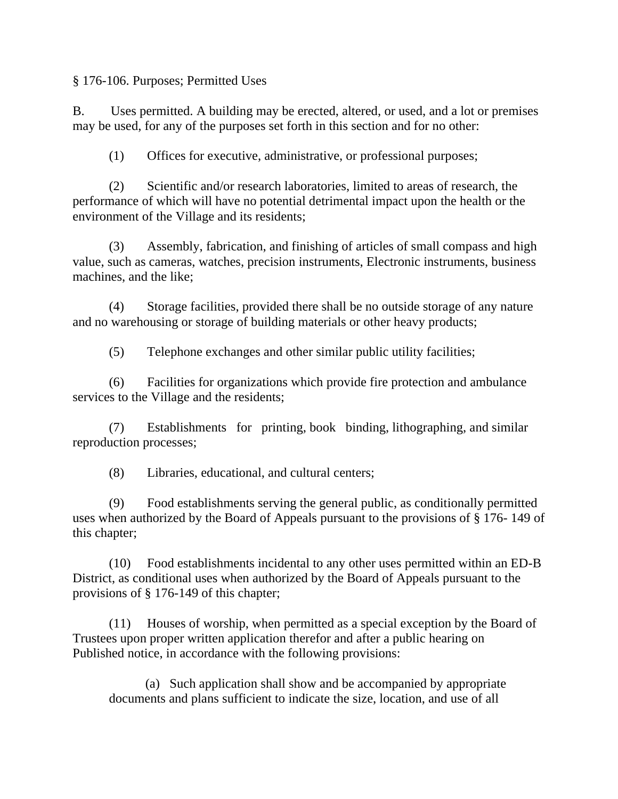§ 176-106. Purposes; Permitted Uses

B. Uses permitted. A building may be erected, altered, or used, and a lot or premises may be used, for any of the purposes set forth in this section and for no other:

(1) Offices for executive, administrative, or professional purposes;

(2) Scientific and/or research laboratories, limited to areas of research, the performance of which will have no potential detrimental impact upon the health or the environment of the Village and its residents;

(3) Assembly, fabrication, and finishing of articles of small compass and high value, such as cameras, watches, precision instruments, Electronic instruments, business machines, and the like;

(4) Storage facilities, provided there shall be no outside storage of any nature and no warehousing or storage of building materials or other heavy products;

(5) Telephone exchanges and other similar public utility facilities;

(6) Facilities for organizations which provide fire protection and ambulance services to the Village and the residents;

(7) Establishments for printing, book binding, lithographing, and similar reproduction processes;

(8) Libraries, educational, and cultural centers;

(9) Food establishments serving the general public, as conditionally permitted uses when authorized by the Board of Appeals pursuant to the provisions of § 176- 149 of this chapter;

(10) Food establishments incidental to any other uses permitted within an ED-B District, as conditional uses when authorized by the Board of Appeals pursuant to the provisions of § 176-149 of this chapter;

(11) Houses of worship, when permitted as a special exception by the Board of Trustees upon proper written application therefor and after a public hearing on Published notice, in accordance with the following provisions:

(a) Such application shall show and be accompanied by appropriate documents and plans sufficient to indicate the size, location, and use of all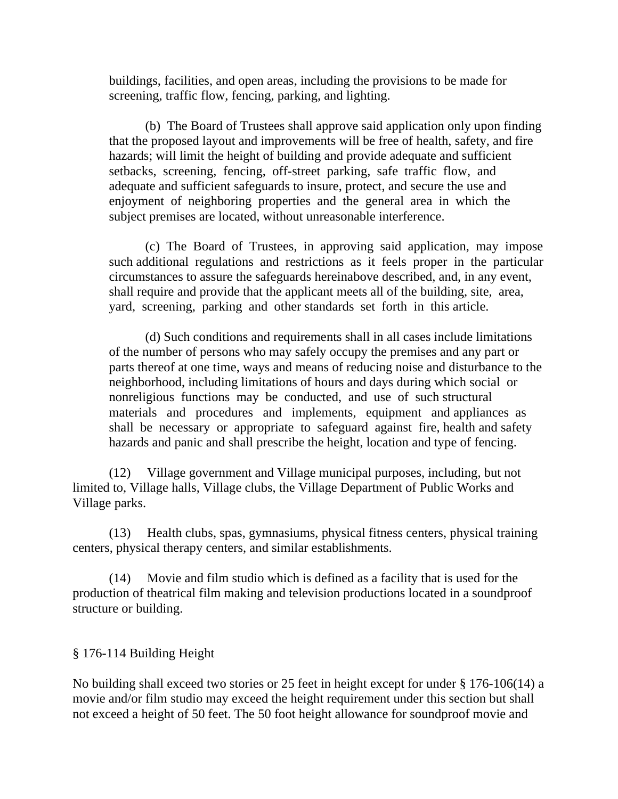buildings, facilities, and open areas, including the provisions to be made for screening, traffic flow, fencing, parking, and lighting.

(b) The Board of Trustees shall approve said application only upon finding that the proposed layout and improvements will be free of health, safety, and fire hazards; will limit the height of building and provide adequate and sufficient setbacks, screening, fencing, off-street parking, safe traffic flow, and adequate and sufficient safeguards to insure, protect, and secure the use and enjoyment of neighboring properties and the general area in which the subject premises are located, without unreasonable interference.

(c) The Board of Trustees, in approving said application, may impose such additional regulations and restrictions as it feels proper in the particular circumstances to assure the safeguards hereinabove described, and, in any event, shall require and provide that the applicant meets all of the building, site, area, yard, screening, parking and other standards set forth in this article.

(d) Such conditions and requirements shall in all cases include limitations of the number of persons who may safely occupy the premises and any part or parts thereof at one time, ways and means of reducing noise and disturbance to the neighborhood, including limitations of hours and days during which social or nonreligious functions may be conducted, and use of such structural materials and procedures and implements, equipment and appliances as shall be necessary or appropriate to safeguard against fire, health and safety hazards and panic and shall prescribe the height, location and type of fencing.

(12) Village government and Village municipal purposes, including, but not limited to, Village halls, Village clubs, the Village Department of Public Works and Village parks.

(13) Health clubs, spas, gymnasiums, physical fitness centers, physical training centers, physical therapy centers, and similar establishments.

(14) Movie and film studio which is defined as a facility that is used for the production of theatrical film making and television productions located in a soundproof structure or building.

# § 176-114 Building Height

No building shall exceed two stories or 25 feet in height except for under § 176-106(14) a movie and/or film studio may exceed the height requirement under this section but shall not exceed a height of 50 feet. The 50 foot height allowance for soundproof movie and